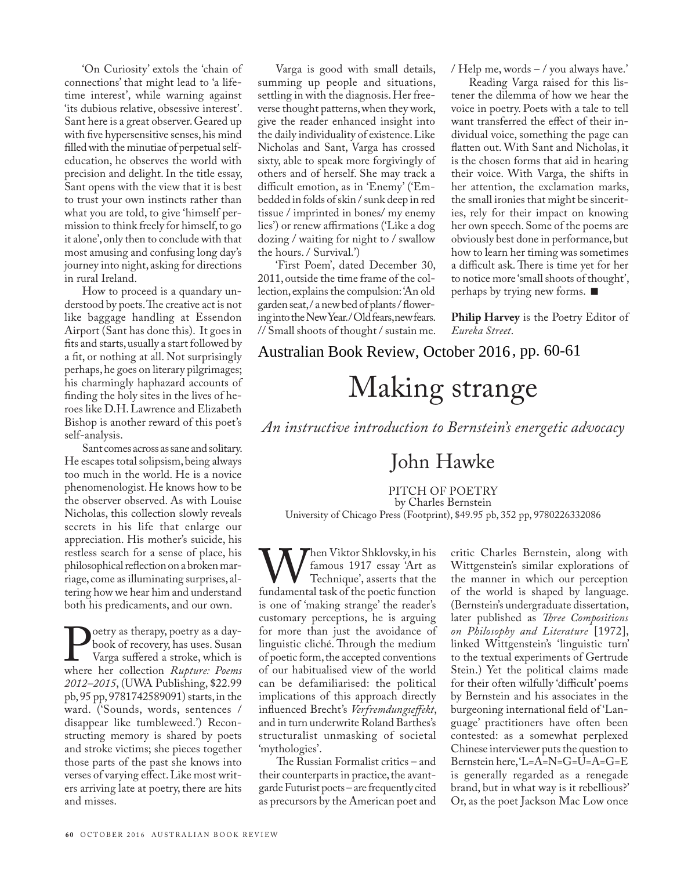### Australian Book Review, October 2016, pp. 60-61

# Making strange

### *An instructive introduction to Bernstein's energetic advocacy*

## John Hawke

#### PITCH OF POETRY

by Charles Bernstein

University of Chicago Press (Footprint), \$49.95 pb, 352 pp, 9780226332086

When Viktor Shklovsky, in his<br>Technique', asserts that the<br>fundamental task of the poetic function famous 1917 essay 'Art as Technique', asserts that the fundamental task of the poetic function is one of 'making strange' the reader's customary perceptions, he is arguing for more than just the avoidance of linguistic cliché. Through the medium of poetic form, the accepted conventions of our habitualised view of the world can be defamiliarised: the political implications of this approach directly influenced Brecht's *Verfremdungseffekt*, and in turn underwrite Roland Barthes's structuralist unmasking of societal 'mythologies'.

The Russian Formalist critics – and their counterparts in practice, the avantgarde Futurist poets – are frequently cited as precursors by the American poet and critic Charles Bernstein, along with Wittgenstein's similar explorations of the manner in which our perception of the world is shaped by language. (Bernstein's undergraduate dissertation, later published as *Three Compositions on Philosophy and Literature* [1972], linked Wittgenstein's 'linguistic turn' to the textual experiments of Gertrude Stein.) Yet the political claims made for their often wilfully 'difficult' poems by Bernstein and his associates in the burgeoning international field of 'Language' practitioners have often been contested: as a somewhat perplexed Chinese interviewer puts the question to Bernstein here, 'L=A=N=G=U=A=G=E is generally regarded as a renegade brand, but in what way is it rebellious?' Or, as the poet Jackson Mac Low once

perhaps, he goes on literary pilgrimages;